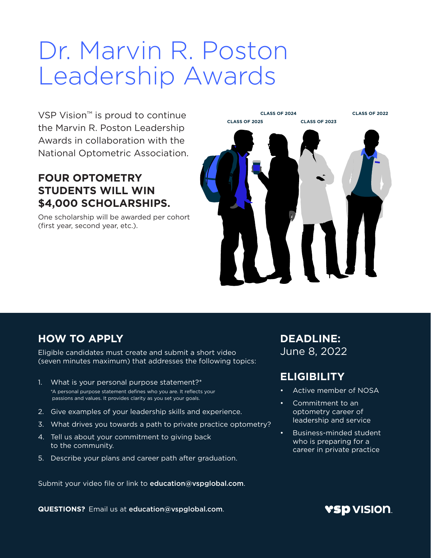# Dr. Marvin R. Poston Leadership Awards

VSP Vision™ is proud to continue the Marvin R. Poston Leadership Awards in collaboration with the National Optometric Association.

#### **FOUR OPTOMETRY STUDENTS WILL WIN \$4,000 SCHOLARSHIPS.**

One scholarship will be awarded per cohort (first year, second year, etc.).



#### **HOW TO APPLY**

Eligible candidates must create and submit a short video (seven minutes maximum) that addresses the following topics:

- 1. What is your personal purpose statement?\* \*A personal purpose statement defines who you are. It reflects your passions and values. It provides clarity as you set your goals.
- 2. Give examples of your leadership skills and experience.
- 3. What drives you towards a path to private practice optometry?
- 4. Tell us about your commitment to giving back to the community.
- 5. Describe your plans and career path after graduation.

Submit your video file or link to education@vspglobal.com.

**QUESTIONS?** Email us at education@vspglobal.com.

**DEADLINE:** June 8, 2022

### **ELIGIBILITY**

- Active member of NOSA
- Commitment to an optometry career of leadership and service
- Business-minded student who is preparing for a career in private practice